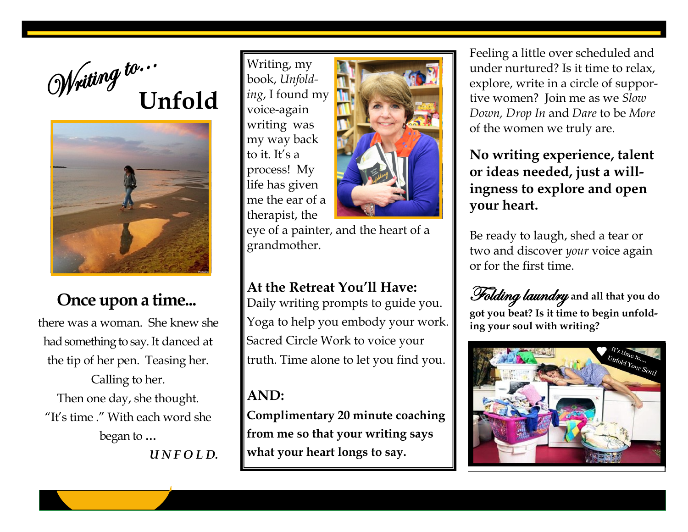



## **Once upon a time...**

there was a woman. She knew she had something to say.It danced at the tip of her pen. Teasing her. Calling to her. Then one day, she thought. "It's time ." With each word she began to **…**  *U N F O L D.*

Writing, my book, *Unfolding*, I found my voice-again writing was my way back to it. It's a process! My life has given me the ear of a therapist, the



eye of a painter, and the heart of a grandmother.

**At the Retreat You'll Have:**

Daily writing prompts to guide you. Yoga to help you embody your work. Sacred Circle Work to voice your truth. Time alone to let you find you.

**AND:**

**Complimentary 20 minute coaching from me so that your writing says what your heart longs to say.**

Feeling a little over scheduled and under nurtured? Is it time to relax, explore, write in a circle of supportive women? Join me as we *Slow Down, Drop In* and *Dare* to be *More* of the women we truly are.

## **No writing experience, talent or ideas needed, just a willingness to explore and open your heart.**

Be ready to laugh, shed a tear or two and discover *your* voice again or for the first time.

Folding laundry **and all that you do got you beat? Is it time to begin unfolding your soul with writing?**